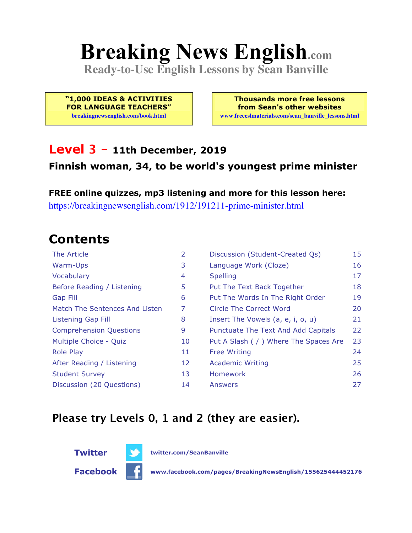# **Breaking News English.com**

**Ready-to-Use English Lessons by Sean Banville**

**"1,000 IDEAS & ACTIVITIES FOR LANGUAGE TEACHERS" breakingnewsenglish.com/book.html**

**Thousands more free lessons from Sean's other websites www.freeeslmaterials.com/sean\_banville\_lessons.html**

### **Level 3 - 11th December, 2019**

#### **Finnish woman, 34, to be world's youngest prime minister**

**FREE online quizzes, mp3 listening and more for this lesson here:** https://breakingnewsenglish.com/1912/191211-prime-minister.html

### **Contents**

| The Article                    | 2  | Discussion (Student-Created Qs)        | 15 |
|--------------------------------|----|----------------------------------------|----|
| Warm-Ups                       | 3  | Language Work (Cloze)                  | 16 |
| Vocabulary                     | 4  | <b>Spelling</b>                        | 17 |
| Before Reading / Listening     | 5  | Put The Text Back Together             | 18 |
| Gap Fill                       | 6  | Put The Words In The Right Order       | 19 |
| Match The Sentences And Listen | 7  | Circle The Correct Word                | 20 |
| Listening Gap Fill             | 8  | Insert The Vowels (a, e, i, o, u)      | 21 |
| <b>Comprehension Questions</b> | 9  | Punctuate The Text And Add Capitals    | 22 |
| Multiple Choice - Quiz         | 10 | Put A Slash ( / ) Where The Spaces Are | 23 |
| <b>Role Play</b>               | 11 | <b>Free Writing</b>                    | 24 |
| After Reading / Listening      | 12 | <b>Academic Writing</b>                | 25 |
| <b>Student Survey</b>          | 13 | <b>Homework</b>                        | 26 |
| Discussion (20 Questions)      | 14 | Answers                                | 27 |

#### **Please try Levels 0, 1 and 2 (they are easier).**

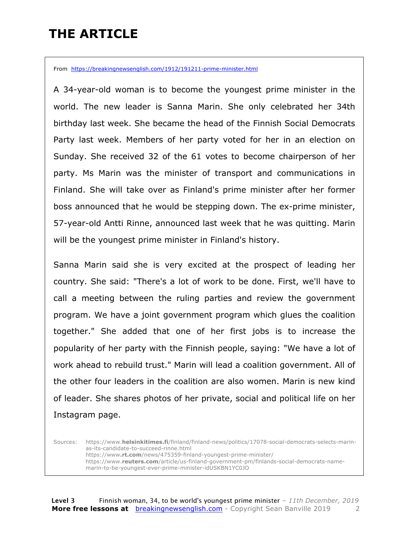### **THE ARTICLE**

From https://breakingnewsenglish.com/1912/191211-prime-minister.html

A 34-year-old woman is to become the youngest prime minister in the world. The new leader is Sanna Marin. She only celebrated her 34th birthday last week. She became the head of the Finnish Social Democrats Party last week. Members of her party voted for her in an election on Sunday. She received 32 of the 61 votes to become chairperson of her party. Ms Marin was the minister of transport and communications in Finland. She will take over as Finland's prime minister after her former boss announced that he would be stepping down. The ex-prime minister, 57-year-old Antti Rinne, announced last week that he was quitting. Marin will be the youngest prime minister in Finland's history.

Sanna Marin said she is very excited at the prospect of leading her country. She said: "There's a lot of work to be done. First, we'll have to call a meeting between the ruling parties and review the government program. We have a joint government program which glues the coalition together." She added that one of her first jobs is to increase the popularity of her party with the Finnish people, saying: "We have a lot of work ahead to rebuild trust." Marin will lead a coalition government. All of the other four leaders in the coalition are also women. Marin is new kind of leader. She shares photos of her private, social and political life on her Instagram page.

Sources: https://www.**helsinkitimes.fi**/finland/finland-news/politics/17078-social-democrats-selects-marinas-its-candidate-to-succeed-rinne.html https://www**.rt.com**/news/475359-finland-youngest-prime-minister/ https://www.**reuters.com**/article/us-finland-government-pm/finlands-social-democrats-namemarin-to-be-youngest-ever-prime-minister-idUSKBN1YC0JO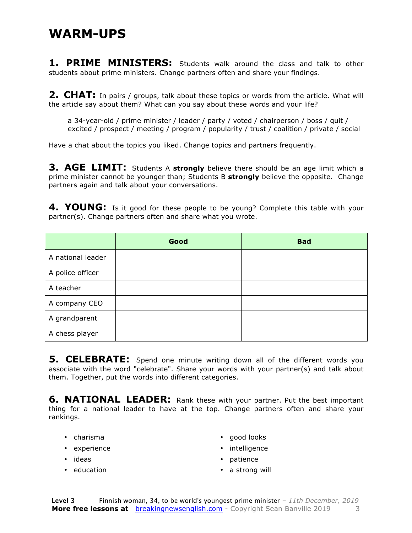**1. PRIME MINISTERS:** Students walk around the class and talk to other students about prime ministers. Change partners often and share your findings.

**2. CHAT:** In pairs / groups, talk about these topics or words from the article. What will the article say about them? What can you say about these words and your life?

a 34-year-old / prime minister / leader / party / voted / chairperson / boss / quit / excited / prospect / meeting / program / popularity / trust / coalition / private / social

Have a chat about the topics you liked. Change topics and partners frequently.

**3. AGE LIMIT:** Students A **strongly** believe there should be an age limit which a prime minister cannot be younger than; Students B **strongly** believe the opposite. Change partners again and talk about your conversations.

**4. YOUNG:** Is it good for these people to be young? Complete this table with your partner(s). Change partners often and share what you wrote.

|                   | Good | <b>Bad</b> |
|-------------------|------|------------|
| A national leader |      |            |
| A police officer  |      |            |
| A teacher         |      |            |
| A company CEO     |      |            |
| A grandparent     |      |            |
| A chess player    |      |            |

**5. CELEBRATE:** Spend one minute writing down all of the different words you associate with the word "celebrate". Share your words with your partner(s) and talk about them. Together, put the words into different categories.

**6. NATIONAL LEADER:** Rank these with your partner. Put the best important thing for a national leader to have at the top. Change partners often and share your rankings.

- charisma
- experience
- ideas
- education
- good looks
- intelligence
- patience
- a strong will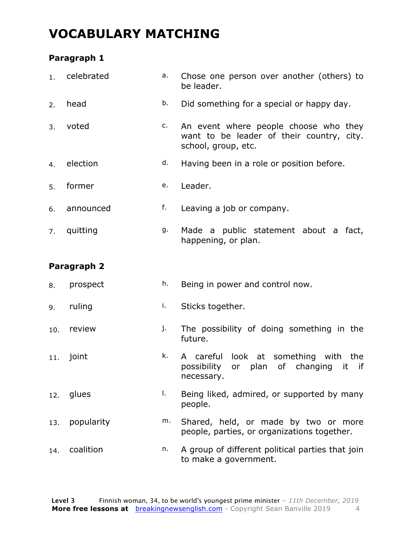### **VOCABULARY MATCHING**

#### **Paragraph 1**

| 1.  | celebrated  | a. | Chose one person over another (others) to<br>be leader.                                                                |  |
|-----|-------------|----|------------------------------------------------------------------------------------------------------------------------|--|
| 2.  | head        | b. | Did something for a special or happy day.                                                                              |  |
| 3.  | voted       | c. | An event where people choose who they<br>want to be leader of their country, city.<br>school, group, etc.              |  |
| 4.  | election    | d. | Having been in a role or position before.                                                                              |  |
| 5.  | former      | e. | Leader.                                                                                                                |  |
| 6.  | announced   | f. | Leaving a job or company.                                                                                              |  |
| 7.  | quitting    | g. | Made a public statement about a fact,<br>happening, or plan.                                                           |  |
|     | Paragraph 2 |    |                                                                                                                        |  |
| 8.  | prospect    | h. | Being in power and control now.                                                                                        |  |
| 9.  | ruling      | i. | Sticks together.                                                                                                       |  |
| 10. | review      | j. | The possibility of doing something in the<br>future.                                                                   |  |
| 11. | joint       | k. | careful<br>look at something<br>with<br>the<br>A<br>possibility<br>of changing<br>plan<br>it<br>if<br>or<br>necessary. |  |
| 12. | glues       | Ι. | Being liked, admired, or supported by many<br>people.                                                                  |  |
| 13. | popularity  | m. | Shared, held, or made by two or more<br>people, parties, or organizations together.                                    |  |
|     |             |    |                                                                                                                        |  |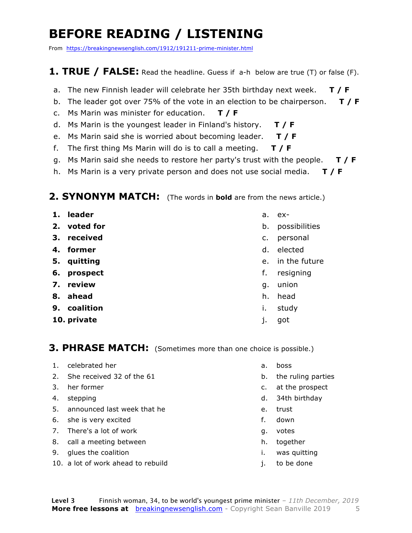### **BEFORE READING / LISTENING**

From https://breakingnewsenglish.com/1912/191211-prime-minister.html

#### **1. TRUE / FALSE:** Read the headline. Guess if a-h below are true (T) or false (F).

- a. The new Finnish leader will celebrate her 35th birthday next week. **T / F**
- b. The leader got over 75% of the vote in an election to be chairperson. **T / F**
- c. Ms Marin was minister for education. **T / F**
- d. Ms Marin is the youngest leader in Finland's history. **T / F**
- e. Ms Marin said she is worried about becoming leader. **T / F**
- f. The first thing Ms Marin will do is to call a meeting. **T / F**
- g. Ms Marin said she needs to restore her party's trust with the people. **T / F**
- h. Ms Marin is a very private person and does not use social media. **T / F**

#### **2. SYNONYM MATCH:** (The words in **bold** are from the news article.)

- **1. leader**
- **2. voted for**
- **3. received**
- **4. former**
- **5. quitting**
- **6. prospect**
- **7. review**
- **8. ahead**
- **9. coalition**
- **10. private**
- a. ex-
- b. possibilities
- c. personal
- d. elected
- e. in the future
- f. resigning
- g. union
- h. head
- i. study
- j. got

#### **3. PHRASE MATCH:** (Sometimes more than one choice is possible.)

- 1. celebrated her
- 2. She received 32 of the 61
- 3. her former
- 4. stepping
- 5. announced last week that he
- 6. she is very excited
- 7. There's a lot of work
- 8. call a meeting between
- 9. glues the coalition
- 10. a lot of work ahead to rebuild
- a. boss
- b. the ruling parties
- c. at the prospect
- d. 34th birthday
- e. trust
- f. down
- g. votes
- h. together
- i. was quitting
- j. to be done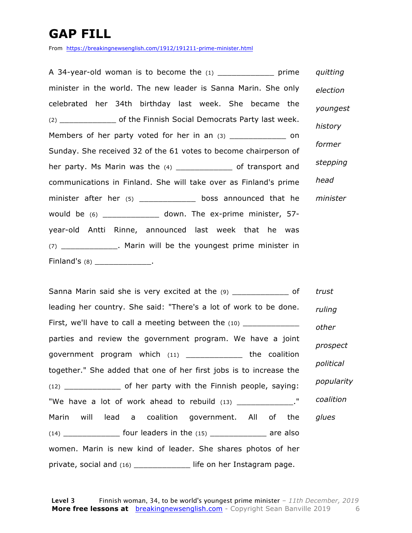### **GAP FILL**

From https://breakingnewsenglish.com/1912/191211-prime-minister.html

A 34-year-old woman is to become the (1) prime minister in the world. The new leader is Sanna Marin. She only celebrated her 34th birthday last week. She became the (2) of the Finnish Social Democrats Party last week. Members of her party voted for her in an (3) \_\_\_\_\_\_\_\_\_\_\_\_\_\_\_\_ on Sunday. She received 32 of the 61 votes to become chairperson of her party. Ms Marin was the (4) \_\_\_\_\_\_\_\_\_\_\_\_\_\_\_ of transport and communications in Finland. She will take over as Finland's prime minister after her (5) \_\_\_\_\_\_\_\_\_\_\_\_\_\_\_ boss announced that he would be  $(6)$  \_\_\_\_\_\_\_\_\_\_\_\_\_\_ down. The ex-prime minister, 57year-old Antti Rinne, announced last week that he was (7) \_\_\_\_\_\_\_\_\_\_\_\_. Marin will be the youngest prime minister in Finland's (8) \_\_\_\_\_\_\_\_\_\_\_\_\_\_\_. *quitting election youngest history former stepping head minister*

Sanna Marin said she is very excited at the (9) \_\_\_\_\_\_\_\_\_\_\_\_\_ of leading her country. She said: "There's a lot of work to be done. First, we'll have to call a meeting between the  $(10)$ parties and review the government program. We have a joint government program which (11) \_\_\_\_\_\_\_\_\_\_\_\_ the coalition together." She added that one of her first jobs is to increase the (12) \_\_\_\_\_\_\_\_\_\_\_\_ of her party with the Finnish people, saying: "We have a lot of work ahead to rebuild (13) The nave a lot of work ahead to rebuild Marin will lead a coalition government. All of the  $(14)$  \_\_\_\_\_\_\_\_\_\_\_\_\_\_\_\_\_ four leaders in the  $(15)$  \_\_\_\_\_\_\_\_\_\_\_\_\_\_\_\_ are also women. Marin is new kind of leader. She shares photos of her private, social and (16) \_\_\_\_\_\_\_\_\_\_\_\_ life on her Instagram page. *trust ruling other prospect political popularity coalition glues*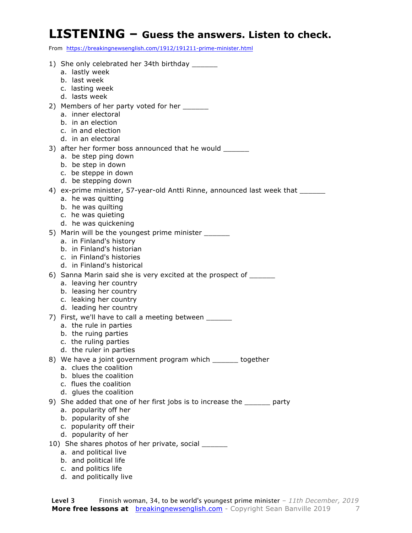#### **LISTENING – Guess the answers. Listen to check.**

From https://breakingnewsenglish.com/1912/191211-prime-minister.html

| 1) She only celebrated her 34th birthday _______<br>a. lastly week<br>b. last week<br>c. lasting week                                                                                            |
|--------------------------------------------------------------------------------------------------------------------------------------------------------------------------------------------------|
| d. lasts week<br>2) Members of her party voted for her _______                                                                                                                                   |
| a. inner electoral<br>b. in an election<br>c. in and election<br>d. in an electoral                                                                                                              |
| 3) after her former boss announced that he would _______<br>a. be step ping down<br>b. be step in down<br>c. be steppe in down                                                                   |
| d. be stepping down<br>4) ex-prime minister, 57-year-old Antti Rinne, announced last week that _______<br>a. he was quitting<br>b. he was quilting<br>c. he was quieting<br>d. he was quickening |
| 5) Marin will be the youngest prime minister _____<br>a. in Finland's history<br>b. in Finland's historian<br>c. in Finland's histories<br>d. in Finland's historical                            |
| 6) Sanna Marin said she is very excited at the prospect of ______<br>a. leaving her country<br>b. leasing her country<br>c. leaking her country<br>d. leading her country                        |
| 7) First, we'll have to call a meeting between _______<br>a. the rule in parties<br>b. the ruing parties<br>c. the ruling parties<br>d. the ruler in parties                                     |
| 8) We have a joint government program which ______ together<br>a. clues the coalition<br>b. blues the coalition<br>c. flues the coalition<br>d. glues the coalition                              |
| 9) She added that one of her first jobs is to increase the _______ party<br>a. popularity off her<br>b. popularity of she<br>c. popularity off their<br>d. popularity of her                     |
| 10) She shares photos of her private, social ______                                                                                                                                              |
| a. and political live                                                                                                                                                                            |
| b. and political life                                                                                                                                                                            |
| c. and politics life<br>d. and politically live                                                                                                                                                  |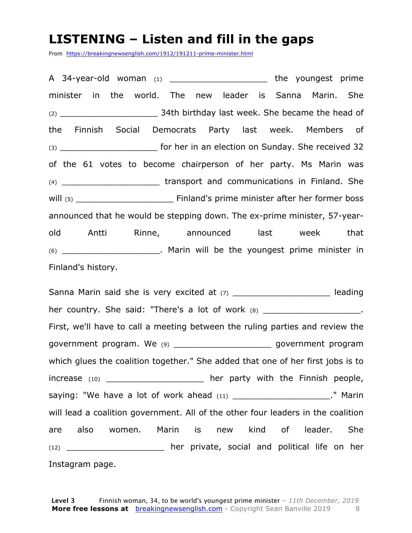#### **LISTENING – Listen and fill in the gaps**

From https://breakingnewsenglish.com/1912/191211-prime-minister.html

A 34-year-old woman (1) a control the youngest prime minister in the world. The new leader is Sanna Marin. She (2) \_\_\_\_\_\_\_\_\_\_\_\_\_\_\_\_\_\_\_ 34th birthday last week. She became the head of the Finnish Social Democrats Party last week. Members of (3) \_\_\_\_\_\_\_\_\_\_\_\_\_\_\_\_\_\_\_ for her in an election on Sunday. She received 32 of the 61 votes to become chairperson of her party. Ms Marin was (4) **Example 2** transport and communications in Finland. She will (5) \_\_\_\_\_\_\_\_\_\_\_\_\_\_\_\_\_\_\_ Finland's prime minister after her former boss announced that he would be stepping down. The ex-prime minister, 57-yearold Antti Rinne, announced last week that (6) \_\_\_\_\_\_\_\_\_\_\_\_\_\_\_\_\_\_\_. Marin will be the youngest prime minister in Finland's history.

Sanna Marin said she is very excited at (7) The same sheading her country. She said: "There's a lot of work (8) \_\_\_\_\_\_\_\_\_\_\_\_\_\_\_\_\_\_\_\_\_\_. First, we'll have to call a meeting between the ruling parties and review the government program. We (9) \_\_\_\_\_\_\_\_\_\_\_\_\_\_\_\_\_\_\_\_\_\_\_\_\_\_ government program which glues the coalition together." She added that one of her first jobs is to increase (10) \_\_\_\_\_\_\_\_\_\_\_\_\_\_\_\_\_\_\_\_\_\_ her party with the Finnish people, saying: "We have a lot of work ahead (11) \_\_\_\_\_\_\_\_\_\_\_\_\_\_\_\_\_\_\_\_\_\_." Marin will lead a coalition government. All of the other four leaders in the coalition are also women. Marin is new kind of leader. She (12) \_\_\_\_\_\_\_\_\_\_\_\_\_\_\_\_\_\_\_ her private, social and political life on her Instagram page.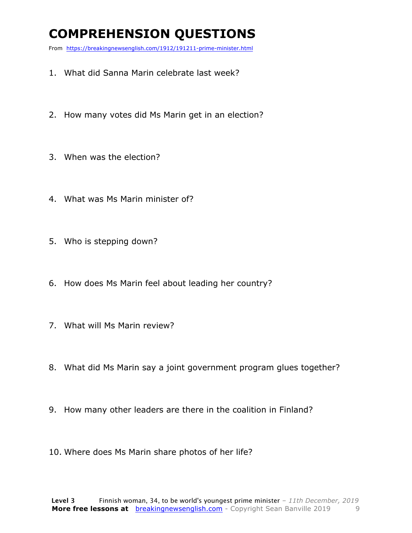### **COMPREHENSION QUESTIONS**

From https://breakingnewsenglish.com/1912/191211-prime-minister.html

- 1. What did Sanna Marin celebrate last week?
- 2. How many votes did Ms Marin get in an election?
- 3. When was the election?
- 4. What was Ms Marin minister of?
- 5. Who is stepping down?
- 6. How does Ms Marin feel about leading her country?
- 7. What will Ms Marin review?
- 8. What did Ms Marin say a joint government program glues together?
- 9. How many other leaders are there in the coalition in Finland?
- 10. Where does Ms Marin share photos of her life?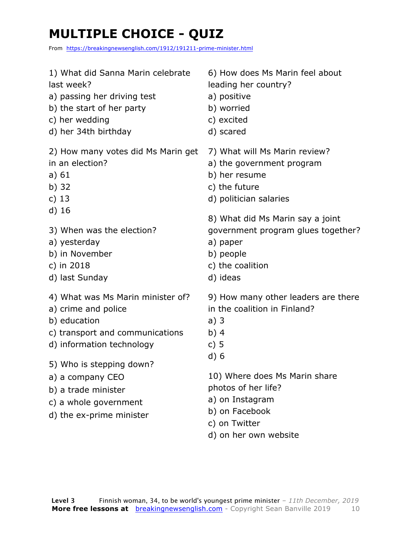### **MULTIPLE CHOICE - QUIZ**

From https://breakingnewsenglish.com/1912/191211-prime-minister.html

| 1) What did Sanna Marin celebrate  | 6) How does Ms Marin feel about     |
|------------------------------------|-------------------------------------|
| last week?                         | leading her country?                |
| a) passing her driving test        | a) positive                         |
| b) the start of her party          | b) worried                          |
| c) her wedding                     | c) excited                          |
| d) her 34th birthday               | d) scared                           |
| 2) How many votes did Ms Marin get | 7) What will Ms Marin review?       |
| in an election?                    | a) the government program           |
| a) $61$                            | b) her resume                       |
| b) $32$                            | c) the future                       |
| c) $13$                            | d) politician salaries              |
| $d)$ 16                            | 8) What did Ms Marin say a joint    |
| 3) When was the election?          | government program glues together?  |
| a) yesterday                       | a) paper                            |
| b) in November                     | b) people                           |
| c) in 2018                         | c) the coalition                    |
| d) last Sunday                     | d) ideas                            |
| 4) What was Ms Marin minister of?  | 9) How many other leaders are there |
| a) crime and police                | in the coalition in Finland?        |
| b) education                       | a)3                                 |
| c) transport and communications    | b) $4$                              |
| d) information technology          | c) $5$                              |
| 5) Who is stepping down?           | d)6                                 |
| a) a company CEO                   | 10) Where does Ms Marin share       |
| b) a trade minister                | photos of her life?                 |
| c) a whole government              | a) on Instagram                     |
| d) the ex-prime minister           | b) on Facebook                      |

- c) on Twitter
- d) on her own website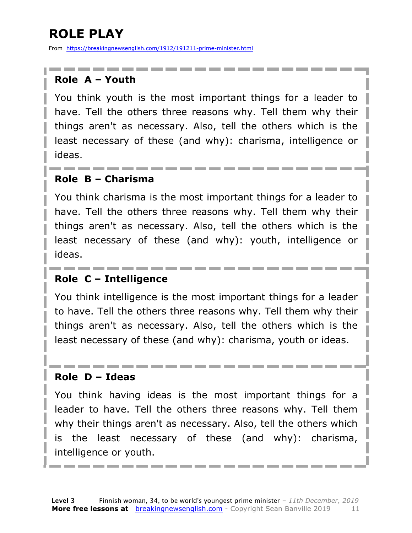### **ROLE PLAY**

From https://breakingnewsenglish.com/1912/191211-prime-minister.html

#### **Role A – Youth**

You think youth is the most important things for a leader to have. Tell the others three reasons why. Tell them why their things aren't as necessary. Also, tell the others which is the least necessary of these (and why): charisma, intelligence or ideas.

#### **Role B – Charisma**

You think charisma is the most important things for a leader to have. Tell the others three reasons why. Tell them why their things aren't as necessary. Also, tell the others which is the least necessary of these (and why): youth, intelligence or ideas.

#### **Role C – Intelligence**

You think intelligence is the most important things for a leader to have. Tell the others three reasons why. Tell them why their things aren't as necessary. Also, tell the others which is the least necessary of these (and why): charisma, youth or ideas.

#### **Role D – Ideas**

You think having ideas is the most important things for a leader to have. Tell the others three reasons why. Tell them why their things aren't as necessary. Also, tell the others which is the least necessary of these (and why): charisma, intelligence or youth.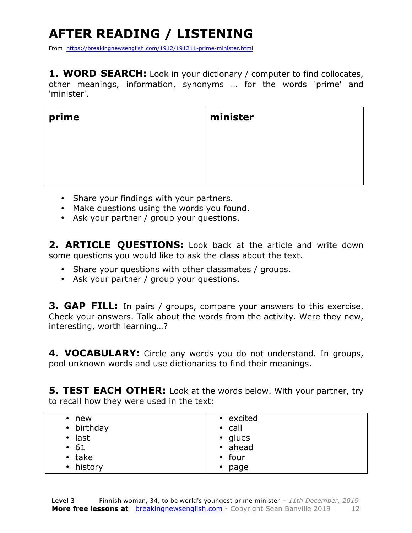## **AFTER READING / LISTENING**

From https://breakingnewsenglish.com/1912/191211-prime-minister.html

1. WORD SEARCH: Look in your dictionary / computer to find collocates, other meanings, information, synonyms … for the words 'prime' and 'minister'.

| prime | minister |
|-------|----------|
|       |          |
|       |          |
|       |          |

- Share your findings with your partners.
- Make questions using the words you found.
- Ask your partner / group your questions.

**2. ARTICLE QUESTIONS:** Look back at the article and write down some questions you would like to ask the class about the text.

- Share your questions with other classmates / groups.
- Ask your partner / group your questions.

**3. GAP FILL:** In pairs / groups, compare your answers to this exercise. Check your answers. Talk about the words from the activity. Were they new, interesting, worth learning…?

**4. VOCABULARY:** Circle any words you do not understand. In groups, pool unknown words and use dictionaries to find their meanings.

**5. TEST EACH OTHER:** Look at the words below. With your partner, try to recall how they were used in the text:

| new<br>$\bullet$ | • excited    |
|------------------|--------------|
| • birthday       | $\cdot$ call |
| $\cdot$ last     | • glues      |
| $\cdot$ 61       | • ahead      |
| $\cdot$ take     | $\cdot$ four |
| • history        | $\cdot$ page |
|                  |              |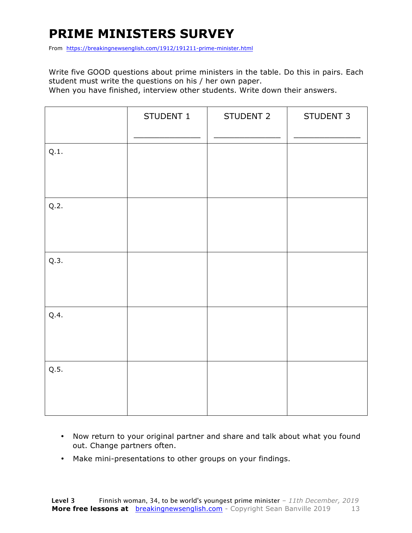### **PRIME MINISTERS SURVEY**

From https://breakingnewsenglish.com/1912/191211-prime-minister.html

Write five GOOD questions about prime ministers in the table. Do this in pairs. Each student must write the questions on his / her own paper.

When you have finished, interview other students. Write down their answers.

|      | STUDENT 1 | STUDENT 2 | STUDENT 3 |
|------|-----------|-----------|-----------|
| Q.1. |           |           |           |
| Q.2. |           |           |           |
| Q.3. |           |           |           |
| Q.4. |           |           |           |
| Q.5. |           |           |           |

- Now return to your original partner and share and talk about what you found out. Change partners often.
- Make mini-presentations to other groups on your findings.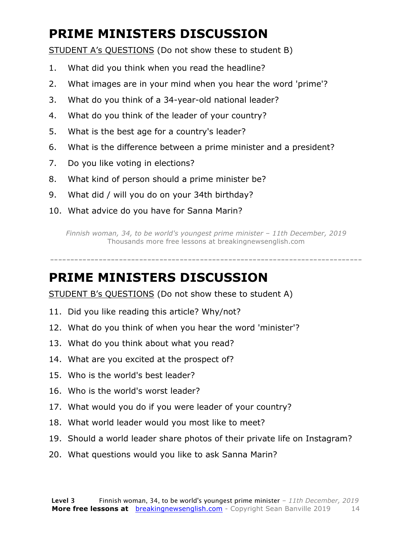### **PRIME MINISTERS DISCUSSION**

STUDENT A's QUESTIONS (Do not show these to student B)

- 1. What did you think when you read the headline?
- 2. What images are in your mind when you hear the word 'prime'?
- 3. What do you think of a 34-year-old national leader?
- 4. What do you think of the leader of your country?
- 5. What is the best age for a country's leader?
- 6. What is the difference between a prime minister and a president?
- 7. Do you like voting in elections?
- 8. What kind of person should a prime minister be?
- 9. What did / will you do on your 34th birthday?
- 10. What advice do you have for Sanna Marin?

*Finnish woman, 34, to be world's youngest prime minister – 11th December, 2019* Thousands more free lessons at breakingnewsenglish.com

-----------------------------------------------------------------------------

#### **PRIME MINISTERS DISCUSSION**

STUDENT B's QUESTIONS (Do not show these to student A)

- 11. Did you like reading this article? Why/not?
- 12. What do you think of when you hear the word 'minister'?
- 13. What do you think about what you read?
- 14. What are you excited at the prospect of?
- 15. Who is the world's best leader?
- 16. Who is the world's worst leader?
- 17. What would you do if you were leader of your country?
- 18. What world leader would you most like to meet?
- 19. Should a world leader share photos of their private life on Instagram?
- 20. What questions would you like to ask Sanna Marin?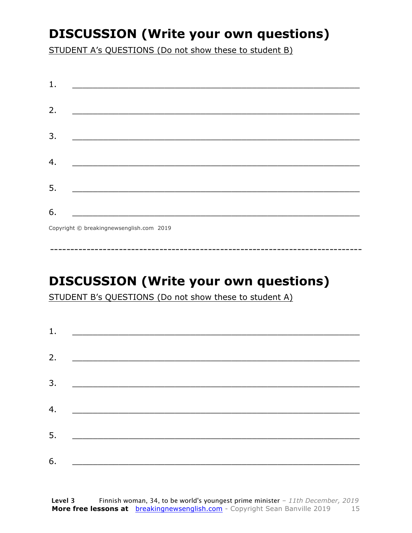### **DISCUSSION (Write your own questions)**

STUDENT A's QUESTIONS (Do not show these to student B)

| 1. |                                                                                                                       |
|----|-----------------------------------------------------------------------------------------------------------------------|
|    |                                                                                                                       |
| 2. |                                                                                                                       |
|    |                                                                                                                       |
| 3. | <u> 1989 - Johann Barn, mars ar breithinn ar chuid ann an t-Alban ann an t-Alban ann an t-Alban ann an t-Alban an</u> |
|    |                                                                                                                       |
| 4. |                                                                                                                       |
|    |                                                                                                                       |
| 5. |                                                                                                                       |
|    |                                                                                                                       |
| 6. |                                                                                                                       |
|    | Convright © breaking newsenglish com 2019                                                                             |
|    |                                                                                                                       |

Copyright © breakingnewsenglish.com 2019

### **DISCUSSION (Write your own questions)**

STUDENT B's QUESTIONS (Do not show these to student A)

| 1. | <u> Alexandria de la contrada de la contrada de la contrada de la contrada de la contrada de la contrada de la c</u> |  |
|----|----------------------------------------------------------------------------------------------------------------------|--|
|    |                                                                                                                      |  |
| 2. |                                                                                                                      |  |
| 3. |                                                                                                                      |  |
|    |                                                                                                                      |  |
| 4. |                                                                                                                      |  |
| 5. |                                                                                                                      |  |
|    |                                                                                                                      |  |
| 6. |                                                                                                                      |  |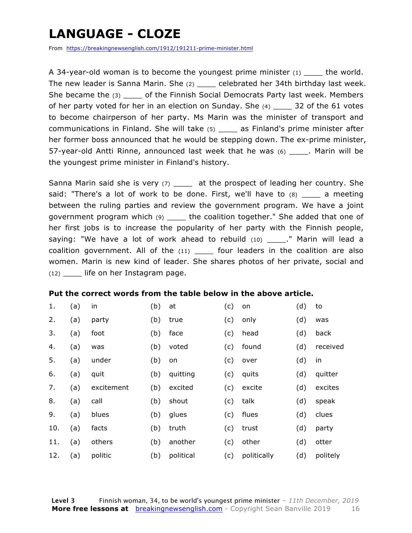### **LANGUAGE - CLOZE**

From https://breakingnewsenglish.com/1912/191211-prime-minister.html

A 34-year-old woman is to become the youngest prime minister  $(1)$  the world. The new leader is Sanna Marin. She (2) \_\_\_\_ celebrated her 34th birthday last week. She became the (3) do the Finnish Social Democrats Party last week. Members of her party voted for her in an election on Sunday. She  $(4)$   $\qquad$  32 of the 61 votes to become chairperson of her party. Ms Marin was the minister of transport and communications in Finland. She will take (5) \_\_\_\_ as Finland's prime minister after her former boss announced that he would be stepping down. The ex-prime minister, 57-year-old Antti Rinne, announced last week that he was (6) \_\_\_\_. Marin will be the youngest prime minister in Finland's history.

Sanna Marin said she is very (7) \_\_\_\_\_ at the prospect of leading her country. She said: "There's a lot of work to be done. First, we'll have to  $(8)$  a meeting between the ruling parties and review the government program. We have a joint government program which (9) \_\_\_\_ the coalition together." She added that one of her first jobs is to increase the popularity of her party with the Finnish people, saying: "We have a lot of work ahead to rebuild  $(10)$  ." Marin will lead a coalition government. All of the (11) \_\_\_\_\_ four leaders in the coalition are also women. Marin is new kind of leader. She shares photos of her private, social and  $(12)$  life on her Instagram page.

#### **Put the correct words from the table below in the above article.**

| 1.  | (a) | in         | (b) | at        | (c) | on          | (d) | to        |
|-----|-----|------------|-----|-----------|-----|-------------|-----|-----------|
| 2.  | (a) | party      | (b) | true      | (c) | only        | (d) | was       |
| 3.  | (a) | foot       | (b) | face      | (c) | head        | (d) | back      |
| 4.  | (a) | was        | (b) | voted     | (c) | found       | (d) | received  |
| 5.  | (a) | under      | (b) | on        | (c) | over        | (d) | <i>in</i> |
| 6.  | (a) | quit       | (b) | quitting  | (c) | quits       | (d) | quitter   |
| 7.  | (a) | excitement | (b) | excited   | (c) | excite      | (d) | excites   |
| 8.  | (a) | call       | (b) | shout     | (c) | talk        | (d) | speak     |
| 9.  | (a) | blues      | (b) | glues     | (c) | flues       | (d) | clues     |
| 10. | (a) | facts      | (b) | truth     | (c) | trust       | (d) | party     |
| 11. | (a) | others     | (b) | another   | (c) | other       | (d) | otter     |
| 12. | (a) | politic    | (b) | political | (c) | politically | (d) | politely  |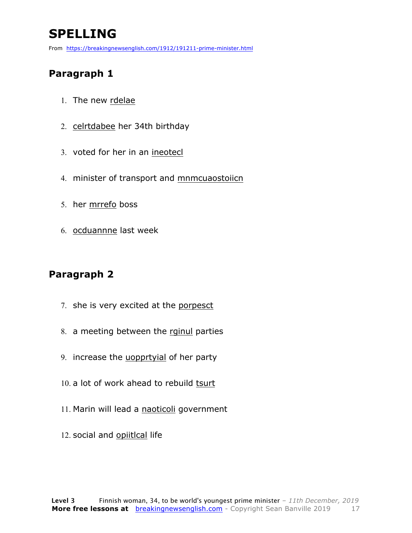### **SPELLING**

From https://breakingnewsenglish.com/1912/191211-prime-minister.html

#### **Paragraph 1**

- 1. The new rdelae
- 2. celrtdabee her 34th birthday
- 3. voted for her in an ineotecl
- 4. minister of transport and mnmcuaostoiicn
- 5. her mrrefo boss
- 6. ocduannne last week

#### **Paragraph 2**

- 7. she is very excited at the porpesct
- 8. a meeting between the rginul parties
- 9. increase the uopprtyial of her party
- 10. a lot of work ahead to rebuild tsurt
- 11. Marin will lead a naoticoli government
- 12. social and opiitlcal life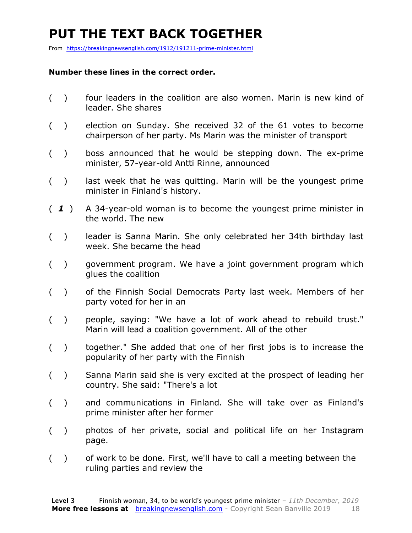### **PUT THE TEXT BACK TOGETHER**

From https://breakingnewsenglish.com/1912/191211-prime-minister.html

#### **Number these lines in the correct order.**

- ( ) four leaders in the coalition are also women. Marin is new kind of leader. She shares
- ( ) election on Sunday. She received 32 of the 61 votes to become chairperson of her party. Ms Marin was the minister of transport
- ( ) boss announced that he would be stepping down. The ex-prime minister, 57-year-old Antti Rinne, announced
- ( ) last week that he was quitting. Marin will be the youngest prime minister in Finland's history.
- ( *1* ) A 34-year-old woman is to become the youngest prime minister in the world. The new
- ( ) leader is Sanna Marin. She only celebrated her 34th birthday last week. She became the head
- ( ) government program. We have a joint government program which glues the coalition
- ( ) of the Finnish Social Democrats Party last week. Members of her party voted for her in an
- ( ) people, saying: "We have a lot of work ahead to rebuild trust." Marin will lead a coalition government. All of the other
- ( ) together." She added that one of her first jobs is to increase the popularity of her party with the Finnish
- ( ) Sanna Marin said she is very excited at the prospect of leading her country. She said: "There's a lot
- ( ) and communications in Finland. She will take over as Finland's prime minister after her former
- ( ) photos of her private, social and political life on her Instagram page.
- ( ) of work to be done. First, we'll have to call a meeting between the ruling parties and review the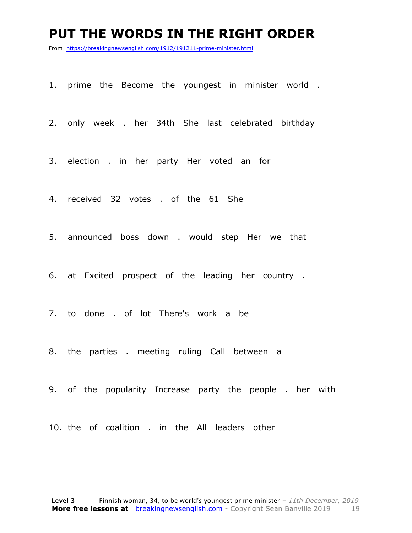#### **PUT THE WORDS IN THE RIGHT ORDER**

From https://breakingnewsenglish.com/1912/191211-prime-minister.html

1. prime the Become the youngest in minister world .

2. only week . her 34th She last celebrated birthday

3. election . in her party Her voted an for

4. received 32 votes . of the 61 She

5. announced boss down . would step Her we that

6. at Excited prospect of the leading her country .

7. to done . of lot There's work a be

8. the parties . meeting ruling Call between a

9. of the popularity Increase party the people . her with

10. the of coalition . in the All leaders other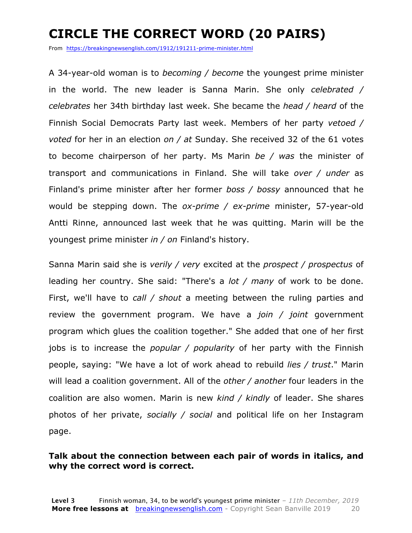### **CIRCLE THE CORRECT WORD (20 PAIRS)**

From https://breakingnewsenglish.com/1912/191211-prime-minister.html

A 34-year-old woman is to *becoming / become* the youngest prime minister in the world. The new leader is Sanna Marin. She only *celebrated / celebrates* her 34th birthday last week. She became the *head / heard* of the Finnish Social Democrats Party last week. Members of her party *vetoed / voted* for her in an election *on / at* Sunday. She received 32 of the 61 votes to become chairperson of her party. Ms Marin *be / was* the minister of transport and communications in Finland. She will take *over / under* as Finland's prime minister after her former *boss / bossy* announced that he would be stepping down. The *ox-prime / ex-prime* minister, 57-year-old Antti Rinne, announced last week that he was quitting. Marin will be the youngest prime minister *in / on* Finland's history.

Sanna Marin said she is *verily / very* excited at the *prospect / prospectus* of leading her country. She said: "There's a *lot / many* of work to be done. First, we'll have to *call / shout* a meeting between the ruling parties and review the government program. We have a *join / joint* government program which glues the coalition together." She added that one of her first jobs is to increase the *popular / popularity* of her party with the Finnish people, saying: "We have a lot of work ahead to rebuild *lies / trust*." Marin will lead a coalition government. All of the *other / another* four leaders in the coalition are also women. Marin is new *kind / kindly* of leader. She shares photos of her private, *socially / social* and political life on her Instagram page.

#### **Talk about the connection between each pair of words in italics, and why the correct word is correct.**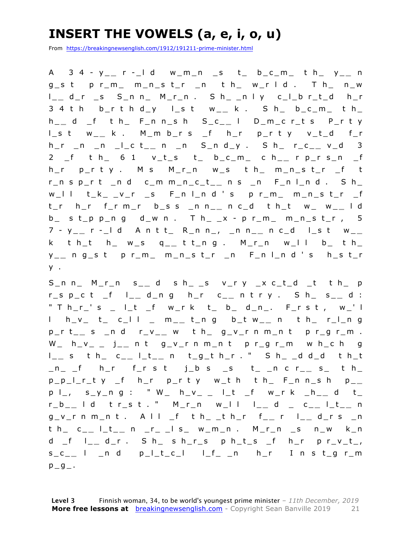### **INSERT THE VOWELS (a, e, i, o, u)**

From https://breakingnewsenglish.com/1912/191211-prime-minister.html

A 3 4 - y \_ **\_** r - \_l d w\_m\_n \_s t\_ b\_c\_m\_ t h\_ y\_ **\_** n g\_s t p r\_m\_ m\_n\_s t\_r \_n t h\_ w\_r l d . T h\_ n\_w l \_ **\_** d\_r \_s S\_n n\_ M\_r\_n . S h\_ \_n l y c\_l\_b r\_t\_d h\_r 3 4 t h b\_ r t h d\_y l\_s t w\_ **\_** k . S h\_ b\_c\_m\_ t h\_ h \_ **\_** d \_f t h\_ F\_n n\_s h S\_c\_ **\_** l D\_m\_c r\_t s P\_r t y l\_s t w\_ **\_** k . M\_m b\_r s \_f h\_r p\_r t y v\_t\_d f\_r h\_r \_n \_n \_l\_c t\_ **\_** n \_n S\_n d\_y . S h\_ r\_c\_ **\_** v\_d 3 2 \_f t h\_ 6 1 v\_t\_s t\_ b\_c\_m\_ c h\_ **\_** r p\_r s\_n \_f h\_r p\_r t y . M s M\_r\_n w\_s t h\_ m\_n\_s t\_r \_f t r\_n s p\_r t \_n d c\_m m\_n\_c\_t\_ **\_** n s \_n F\_n l\_n d . S h\_ w\_l l t\_k\_ \_v\_r \_s F\_n l\_n d ' s p r\_m\_ m\_n\_s t\_r \_f t\_r h\_r f\_r m\_r b\_s s \_n n\_ **\_** n c\_d t h\_t w\_ w\_ **\_** l d  $b_$  s t\_p p\_n g d\_w n . T h\_ \_x - p r\_m\_ m\_n\_s t\_r , 5 7 - y \_ **\_** r - \_l d A n t t\_ R\_n n\_, \_n n\_ **\_** n c\_d l\_s t w\_ **\_**  k t h\_t h\_ w\_s q\_ **\_** t t\_n g . M\_r\_n w\_l l b\_ t h\_ y \_ **\_** n g\_s t p r\_m\_ m\_n\_s t\_r \_n F\_n l\_n d ' s h\_s t\_r y .

S\_n n\_ M\_r\_n s\_ **\_** d s h\_ \_s v\_r y \_x c\_t\_d \_t t h\_ p r\_s p\_c t \_f l\_ **\_** d\_n g h\_r c\_ **\_** n t r y . S h\_ s\_ **\_** d : " T h\_r\_' s \_ l\_t \_f w\_r k t\_ b\_ d\_n\_. F\_r s t , w\_' l l h\_v\_ t\_ c\_l l \_ m\_ **\_** t\_n g b\_t w\_ **\_** n t h\_ r\_l\_n g p\_r t\_ **\_** s \_n d r\_v\_ **\_** w t h\_ g\_v\_r n m\_n t p r\_g r\_m . W\_ h\_v\_ \_ j\_ **\_** n t g\_v\_r n m\_n t p r\_g r\_m w h\_c h g l \_ **\_** s t h\_ c\_ **\_** l\_t\_ **\_** n t\_g\_t h\_r . " S h\_ \_d d\_d t h\_t \_n\_ \_f h\_r f\_r s t j\_b s \_s t\_ \_n c r\_ **\_** s\_ t h\_ p\_p\_l\_r\_t y \_f h\_r p\_r t y w\_t h t h\_ F\_n n\_s h p\_ **\_**  p l\_, s\_y\_n g : " W\_ h\_v\_ \_ l\_t \_f w\_r k \_h\_ **\_** d t\_ r\_b\_ **\_** l d t r\_s t . " M\_r\_n w\_l l l\_ **\_** d \_ c\_ **\_** l\_t\_ **\_** n g\_v\_r n m\_n t . A l l \_f t h\_ \_t h\_r f\_ **\_** r l\_ **\_** d\_r s \_n t h\_ c\_ **\_** l\_t\_ **\_** n \_r\_ \_l s\_ w\_m\_n . M\_r\_n \_s n\_w k\_n d \_f l\_ **\_** d\_r . S h\_ s h\_r\_s p h\_t\_s \_f h\_r p r\_v\_t\_, s\_c\_ **\_** l \_n d p\_l\_t\_c\_l l\_f\_ \_n h\_r I n s t\_g r\_m  $p_g$ .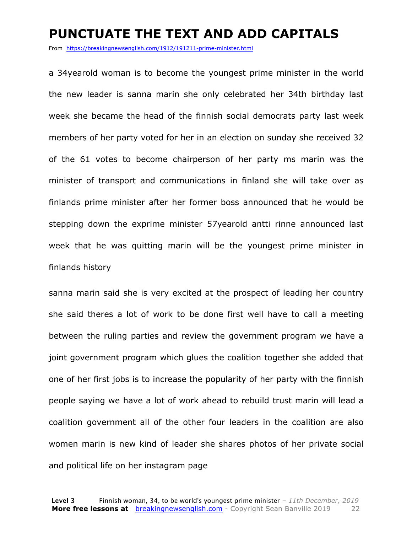#### **PUNCTUATE THE TEXT AND ADD CAPITALS**

From https://breakingnewsenglish.com/1912/191211-prime-minister.html

a 34yearold woman is to become the youngest prime minister in the world the new leader is sanna marin she only celebrated her 34th birthday last week she became the head of the finnish social democrats party last week members of her party voted for her in an election on sunday she received 32 of the 61 votes to become chairperson of her party ms marin was the minister of transport and communications in finland she will take over as finlands prime minister after her former boss announced that he would be stepping down the exprime minister 57yearold antti rinne announced last week that he was quitting marin will be the youngest prime minister in finlands history

sanna marin said she is very excited at the prospect of leading her country she said theres a lot of work to be done first well have to call a meeting between the ruling parties and review the government program we have a joint government program which glues the coalition together she added that one of her first jobs is to increase the popularity of her party with the finnish people saying we have a lot of work ahead to rebuild trust marin will lead a coalition government all of the other four leaders in the coalition are also women marin is new kind of leader she shares photos of her private social and political life on her instagram page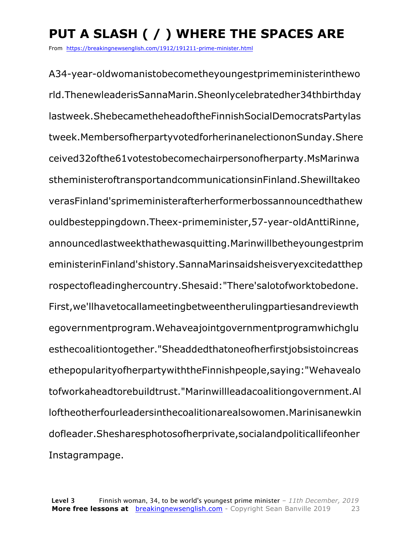### **PUT A SLASH ( / ) WHERE THE SPACES ARE**

From https://breakingnewsenglish.com/1912/191211-prime-minister.html

A34-year-oldwomanistobecometheyoungestprimeministerinthewo rld.ThenewleaderisSannaMarin.Sheonlycelebratedher34thbirthday lastweek.ShebecametheheadoftheFinnishSocialDemocratsPartylas tweek.MembersofherpartyvotedforherinanelectiononSunday.Shere ceived32ofthe61votestobecomechairpersonofherparty.MsMarinwa stheministeroftransportandcommunicationsinFinland.Shewilltakeo verasFinland'sprimeministerafterherformerbossannouncedthathew ouldbesteppingdown.Theex-primeminister,57-year-oldAnttiRinne, announcedlastweekthathewasquitting.Marinwillbetheyoungestprim eministerinFinland'shistory.SannaMarinsaidsheisveryexcitedatthep rospectofleadinghercountry.Shesaid:"There'salotofworktobedone. First,we'llhavetocallameetingbetweentherulingpartiesandreviewth egovernmentprogram.Wehaveajointgovernmentprogramwhichglu esthecoalitiontogether."Sheaddedthatoneofherfirstjobsistoincreas ethepopularityofherpartywiththeFinnishpeople,saying:"Wehavealo tofworkaheadtorebuildtrust."Marinwillleadacoalitiongovernment.Al loftheotherfourleadersinthecoalitionarealsowomen.Marinisanewkin dofleader.Shesharesphotosofherprivate,socialandpoliticallifeonher Instagrampage.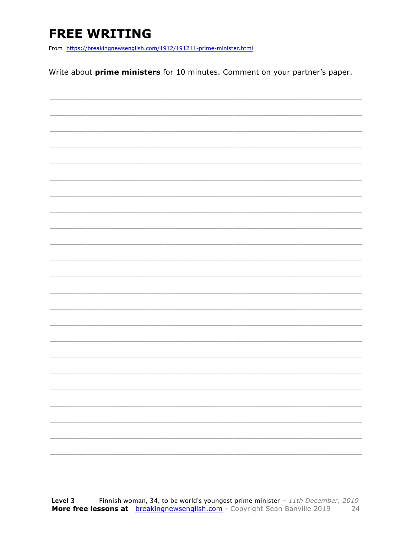### **FREE WRITING**

From https://breakingnewsenglish.com/1912/191211-prime-minister.html

Write about prime ministers for 10 minutes. Comment on your partner's paper.

| $\overline{\phantom{a}}$ |  | $\frac{1}{2} \left( \frac{1}{2} \right) \left( \frac{1}{2} \right) \left( \frac{1}{2} \right) \left( \frac{1}{2} \right) \left( \frac{1}{2} \right) \left( \frac{1}{2} \right) \left( \frac{1}{2} \right) \left( \frac{1}{2} \right) \left( \frac{1}{2} \right) \left( \frac{1}{2} \right) \left( \frac{1}{2} \right) \left( \frac{1}{2} \right) \left( \frac{1}{2} \right) \left( \frac{1}{2} \right) \left( \frac{1}{2} \right) \left( \frac{1}{2} \right) \left( \frac$ |
|--------------------------|--|----------------------------------------------------------------------------------------------------------------------------------------------------------------------------------------------------------------------------------------------------------------------------------------------------------------------------------------------------------------------------------------------------------------------------------------------------------------------------|
| $\overline{\phantom{a}}$ |  |                                                                                                                                                                                                                                                                                                                                                                                                                                                                            |
|                          |  |                                                                                                                                                                                                                                                                                                                                                                                                                                                                            |
| $\overline{\phantom{a}}$ |  |                                                                                                                                                                                                                                                                                                                                                                                                                                                                            |
|                          |  |                                                                                                                                                                                                                                                                                                                                                                                                                                                                            |
| $\frac{1}{2}$            |  | __________                                                                                                                                                                                                                                                                                                                                                                                                                                                                 |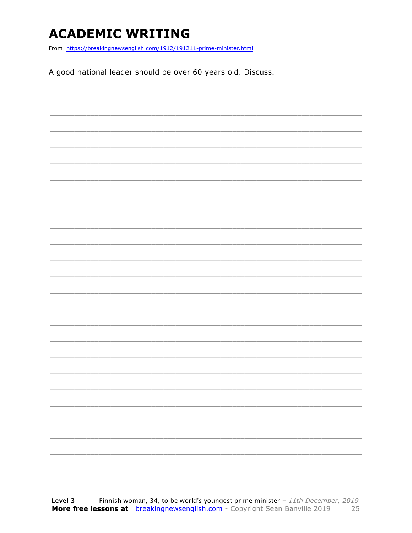### **ACADEMIC WRITING**

From https://breakingnewsenglish.com/1912/191211-prime-minister.html

A good national leader should be over 60 years old. Discuss.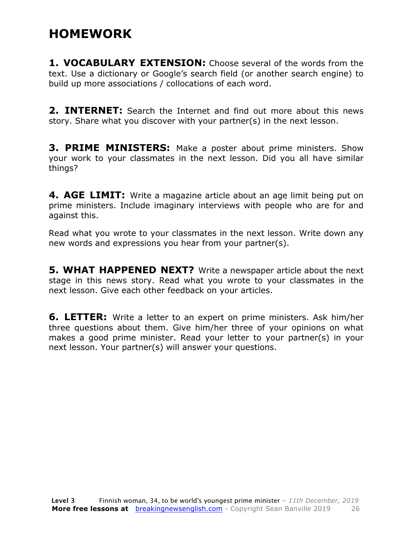### **HOMEWORK**

**1. VOCABULARY EXTENSION:** Choose several of the words from the text. Use a dictionary or Google's search field (or another search engine) to build up more associations / collocations of each word.

**2. INTERNET:** Search the Internet and find out more about this news story. Share what you discover with your partner(s) in the next lesson.

**3. PRIME MINISTERS:** Make a poster about prime ministers. Show your work to your classmates in the next lesson. Did you all have similar things?

**4. AGE LIMIT:** Write a magazine article about an age limit being put on prime ministers. Include imaginary interviews with people who are for and against this.

Read what you wrote to your classmates in the next lesson. Write down any new words and expressions you hear from your partner(s).

**5. WHAT HAPPENED NEXT?** Write a newspaper article about the next stage in this news story. Read what you wrote to your classmates in the next lesson. Give each other feedback on your articles.

**6. LETTER:** Write a letter to an expert on prime ministers. Ask him/her three questions about them. Give him/her three of your opinions on what makes a good prime minister. Read your letter to your partner(s) in your next lesson. Your partner(s) will answer your questions.